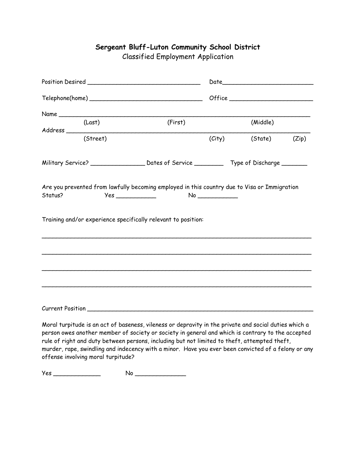## Position Desired \_\_\_\_\_\_\_\_\_\_\_\_\_\_\_\_\_\_\_\_\_\_\_\_\_\_\_\_\_\_\_ Date\_\_\_\_\_\_\_\_\_\_\_\_\_\_\_\_\_\_\_\_\_\_\_\_\_  $Telephone(home)$   $Office$   $Office$   $Office$   $Office$   $Office$   $Office$   $Office$   $Office$   $Office$   $Office$   $Office$   $Office$   $Office$   $Office$   $Office$   $Office$   $Office$   $Office$   $Office$   $Office$   $Office$   $Office$   $Office$   $Office$   $Office$   $Office$   $Office$   $Office$   $Office$   $Office$   $Office$   $Office$   $Office$   $Office$   $Office$   $O$  $Name \_\_$ (Last) (First) (Middle) Address \_\_\_\_\_\_\_\_\_\_\_\_\_\_\_\_\_\_\_\_\_\_\_\_\_\_\_\_\_\_\_\_\_\_\_\_\_\_\_\_\_\_\_\_\_\_\_\_\_\_\_\_\_\_\_\_\_\_\_\_\_\_\_\_\_\_\_ (Street) (City) (State) (Zip) Military Service? \_\_\_\_\_\_\_\_\_\_\_\_\_\_\_\_\_\_\_\_\_\_\_ Dates of Service \_\_\_\_\_\_\_\_\_\_\_\_\_ Type of Discharge \_\_\_\_\_\_\_\_\_ Are you prevented from lawfully becoming employed in this country due to Visa or Immigration Status? Yes \_\_\_\_\_\_\_\_\_\_\_ No \_\_\_\_\_\_\_\_\_\_\_ Training and/or experience specifically relevant to position: \_\_\_\_\_\_\_\_\_\_\_\_\_\_\_\_\_\_\_\_\_\_\_\_\_\_\_\_\_\_\_\_\_\_\_\_\_\_\_\_\_\_\_\_\_\_\_\_\_\_\_\_\_\_\_\_\_\_\_\_\_\_\_\_\_\_\_\_\_\_\_\_\_\_ \_\_\_\_\_\_\_\_\_\_\_\_\_\_\_\_\_\_\_\_\_\_\_\_\_\_\_\_\_\_\_\_\_\_\_\_\_\_\_\_\_\_\_\_\_\_\_\_\_\_\_\_\_\_\_\_\_\_\_\_\_\_\_\_\_\_\_\_\_\_\_\_\_\_ \_\_\_\_\_\_\_\_\_\_\_\_\_\_\_\_\_\_\_\_\_\_\_\_\_\_\_\_\_\_\_\_\_\_\_\_\_\_\_\_\_\_\_\_\_\_\_\_\_\_\_\_\_\_\_\_\_\_\_\_\_\_\_\_\_\_\_\_\_\_\_\_\_\_ \_\_\_\_\_\_\_\_\_\_\_\_\_\_\_\_\_\_\_\_\_\_\_\_\_\_\_\_\_\_\_\_\_\_\_\_\_\_\_\_\_\_\_\_\_\_\_\_\_\_\_\_\_\_\_\_\_\_\_\_\_\_\_\_\_\_\_\_\_\_\_\_\_\_ Current Position **Execution** and the set of the set of the set of the set of the set of the set of the set of the set of the set of the set of the set of the set of the set of the set of the set of the set of the set of th Moral turpitude is an act of baseness, vileness or depravity in the private and social duties which a person owes another member of society or society in general and which is contrary to the accepted

**Sergeant Bluff-Luton Community School District**

Classified Employment Application

rule of right and duty between persons, including but not limited to theft, attempted theft, murder, rape, swindling and indecency with a minor. Have you ever been convicted of a felony or any offense involving moral turpitude?

Yes \_\_\_\_\_\_\_\_\_\_\_\_\_ No \_\_\_\_\_\_\_\_\_\_\_\_\_\_